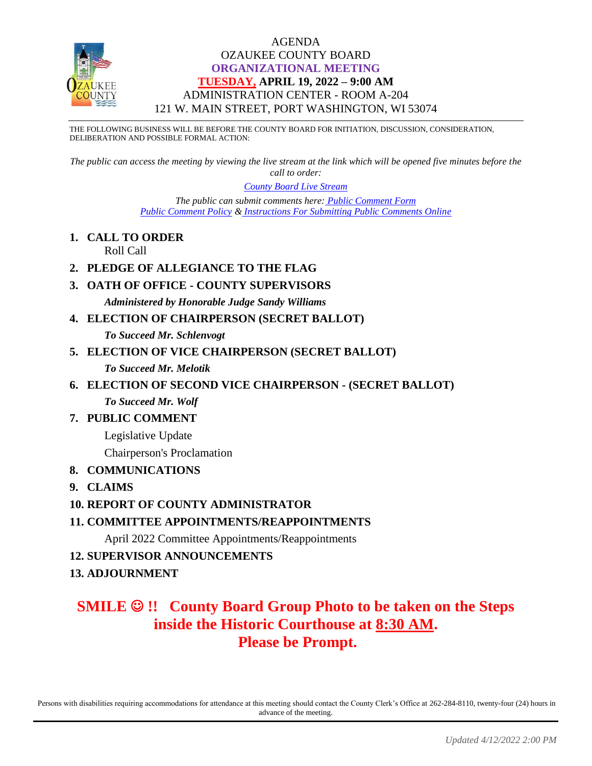

### AGENDA OZAUKEE COUNTY BOARD **ORGANIZATIONAL MEETING TUESDAY, APRIL 19, 2022 – 9:00 AM** ADMINISTRATION CENTER - ROOM A-204 121 W. MAIN STREET, PORT WASHINGTON, WI 53074

THE FOLLOWING BUSINESS WILL BE BEFORE THE COUNTY BOARD FOR INITIATION, DISCUSSION, CONSIDERATION, DELIBERATION AND POSSIBLE FORMAL ACTION:

*The public can access the meeting by viewing the live stream at the link which will be opened five minutes before the call to order:*

*[County Board Live Stream](https://www.youtube.com/channel/UCQ16yLTEJmJo_h02WDDqcqg)*

*The public can submit comments here: [Public Comment Form](https://www.co.ozaukee.wi.us/FormCenter/Email-Forms-28/Email-Public-Comment-300) [Public Comment Policy](https://www.co.ozaukee.wi.us/2663/Public-Comments-at-In-Person-Meetings) & [Instructions For Submitting Public Comments Online](https://www.co.ozaukee.wi.us/2645/Public-Comments-at-Zoom-Meetings)*

**1. CALL TO ORDER**

Roll Call

- **2. PLEDGE OF ALLEGIANCE TO THE FLAG**
- **3. OATH OF OFFICE - COUNTY SUPERVISORS**

*Administered by Honorable Judge Sandy Williams*

**4. ELECTION OF CHAIRPERSON (SECRET BALLOT)**

*To Succeed Mr. Schlenvogt*

**5. ELECTION OF VICE CHAIRPERSON (SECRET BALLOT)**

*To Succeed Mr. Melotik*

**6. ELECTION OF SECOND VICE CHAIRPERSON - (SECRET BALLOT)**

*To Succeed Mr. Wolf*

**7. PUBLIC COMMENT**

Legislative Update

Chairperson's Proclamation

- **8. COMMUNICATIONS**
- **9. CLAIMS**

#### **10. REPORT OF COUNTY ADMINISTRATOR**

**11. COMMITTEE APPOINTMENTS/REAPPOINTMENTS**

April 2022 Committee Appointments/Reappointments

- **12. SUPERVISOR ANNOUNCEMENTS**
- **13. ADJOURNMENT**

# **SMILE** ☺ **!! County Board Group Photo to be taken on the Steps inside the Historic Courthouse at 8:30 AM. Please be Prompt.**

Persons with disabilities requiring accommodations for attendance at this meeting should contact the County Clerk's Office at 262-284-8110, twenty-four (24) hours in advance of the meeting.